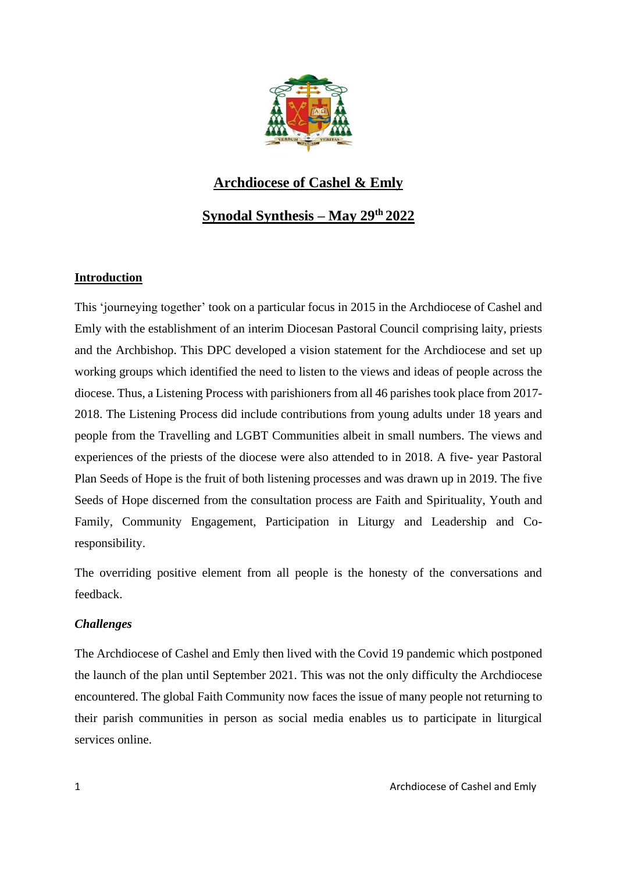

# **Archdiocese of Cashel & Emly**

# **Synodal Synthesis – May 29th 2022**

# **Introduction**

This 'journeying together' took on a particular focus in 2015 in the Archdiocese of Cashel and Emly with the establishment of an interim Diocesan Pastoral Council comprising laity, priests and the Archbishop. This DPC developed a vision statement for the Archdiocese and set up working groups which identified the need to listen to the views and ideas of people across the diocese. Thus, a Listening Process with parishioners from all 46 parishes took place from 2017- 2018. The Listening Process did include contributions from young adults under 18 years and people from the Travelling and LGBT Communities albeit in small numbers. The views and experiences of the priests of the diocese were also attended to in 2018. A five- year Pastoral Plan Seeds of Hope is the fruit of both listening processes and was drawn up in 2019. The five Seeds of Hope discerned from the consultation process are Faith and Spirituality, Youth and Family, Community Engagement, Participation in Liturgy and Leadership and Coresponsibility.

The overriding positive element from all people is the honesty of the conversations and feedback.

# *Challenges*

The Archdiocese of Cashel and Emly then lived with the Covid 19 pandemic which postponed the launch of the plan until September 2021. This was not the only difficulty the Archdiocese encountered. The global Faith Community now faces the issue of many people not returning to their parish communities in person as social media enables us to participate in liturgical services online.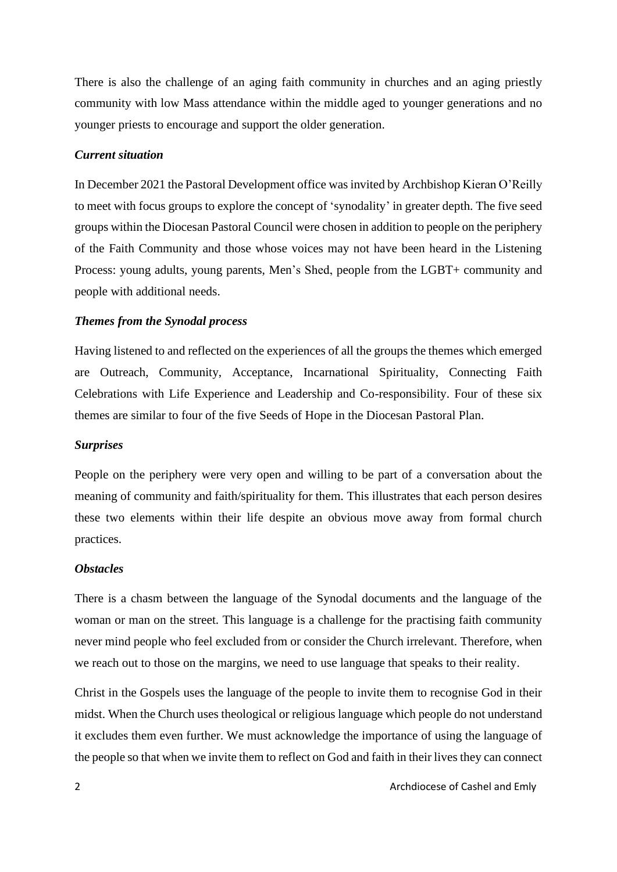There is also the challenge of an aging faith community in churches and an aging priestly community with low Mass attendance within the middle aged to younger generations and no younger priests to encourage and support the older generation.

# *Current situation*

In December 2021 the Pastoral Development office wasinvited by Archbishop Kieran O'Reilly to meet with focus groups to explore the concept of 'synodality' in greater depth. The five seed groups within the Diocesan Pastoral Council were chosen in addition to people on the periphery of the Faith Community and those whose voices may not have been heard in the Listening Process: young adults, young parents, Men's Shed, people from the LGBT+ community and people with additional needs.

# *Themes from the Synodal process*

Having listened to and reflected on the experiences of all the groups the themes which emerged are Outreach, Community, Acceptance, Incarnational Spirituality, Connecting Faith Celebrations with Life Experience and Leadership and Co-responsibility. Four of these six themes are similar to four of the five Seeds of Hope in the Diocesan Pastoral Plan.

#### *Surprises*

People on the periphery were very open and willing to be part of a conversation about the meaning of community and faith/spirituality for them. This illustrates that each person desires these two elements within their life despite an obvious move away from formal church practices.

# *Obstacles*

There is a chasm between the language of the Synodal documents and the language of the woman or man on the street. This language is a challenge for the practising faith community never mind people who feel excluded from or consider the Church irrelevant. Therefore, when we reach out to those on the margins, we need to use language that speaks to their reality.

Christ in the Gospels uses the language of the people to invite them to recognise God in their midst. When the Church uses theological or religious language which people do not understand it excludes them even further. We must acknowledge the importance of using the language of the people so that when we invite them to reflect on God and faith in their lives they can connect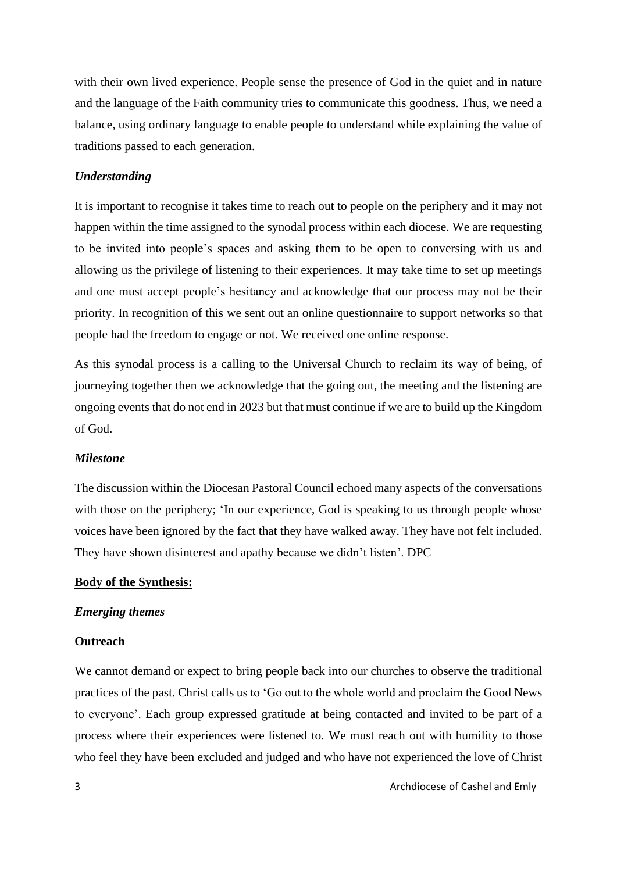with their own lived experience. People sense the presence of God in the quiet and in nature and the language of the Faith community tries to communicate this goodness. Thus, we need a balance, using ordinary language to enable people to understand while explaining the value of traditions passed to each generation.

# *Understanding*

It is important to recognise it takes time to reach out to people on the periphery and it may not happen within the time assigned to the synodal process within each diocese. We are requesting to be invited into people's spaces and asking them to be open to conversing with us and allowing us the privilege of listening to their experiences. It may take time to set up meetings and one must accept people's hesitancy and acknowledge that our process may not be their priority. In recognition of this we sent out an online questionnaire to support networks so that people had the freedom to engage or not. We received one online response.

As this synodal process is a calling to the Universal Church to reclaim its way of being, of journeying together then we acknowledge that the going out, the meeting and the listening are ongoing events that do not end in 2023 but that must continue if we are to build up the Kingdom of God.

#### *Milestone*

The discussion within the Diocesan Pastoral Council echoed many aspects of the conversations with those on the periphery; 'In our experience, God is speaking to us through people whose voices have been ignored by the fact that they have walked away. They have not felt included. They have shown disinterest and apathy because we didn't listen'. DPC

#### **Body of the Synthesis:**

#### *Emerging themes*

## **Outreach**

We cannot demand or expect to bring people back into our churches to observe the traditional practices of the past. Christ calls us to 'Go out to the whole world and proclaim the Good News to everyone'. Each group expressed gratitude at being contacted and invited to be part of a process where their experiences were listened to. We must reach out with humility to those who feel they have been excluded and judged and who have not experienced the love of Christ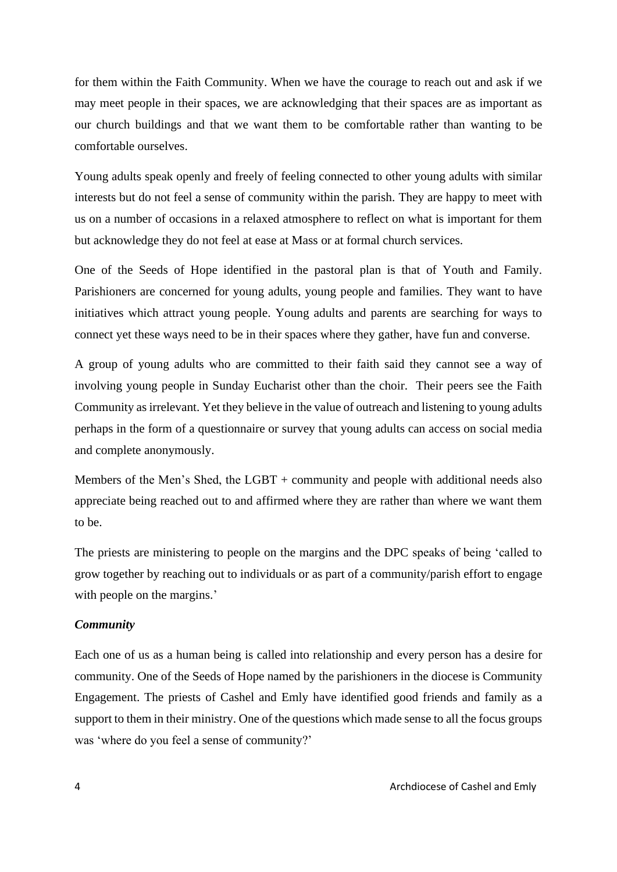for them within the Faith Community. When we have the courage to reach out and ask if we may meet people in their spaces, we are acknowledging that their spaces are as important as our church buildings and that we want them to be comfortable rather than wanting to be comfortable ourselves.

Young adults speak openly and freely of feeling connected to other young adults with similar interests but do not feel a sense of community within the parish. They are happy to meet with us on a number of occasions in a relaxed atmosphere to reflect on what is important for them but acknowledge they do not feel at ease at Mass or at formal church services.

One of the Seeds of Hope identified in the pastoral plan is that of Youth and Family. Parishioners are concerned for young adults, young people and families. They want to have initiatives which attract young people. Young adults and parents are searching for ways to connect yet these ways need to be in their spaces where they gather, have fun and converse.

A group of young adults who are committed to their faith said they cannot see a way of involving young people in Sunday Eucharist other than the choir. Their peers see the Faith Community as irrelevant. Yet they believe in the value of outreach and listening to young adults perhaps in the form of a questionnaire or survey that young adults can access on social media and complete anonymously.

Members of the Men's Shed, the LGBT + community and people with additional needs also appreciate being reached out to and affirmed where they are rather than where we want them to be.

The priests are ministering to people on the margins and the DPC speaks of being 'called to grow together by reaching out to individuals or as part of a community/parish effort to engage with people on the margins.'

## *Community*

Each one of us as a human being is called into relationship and every person has a desire for community. One of the Seeds of Hope named by the parishioners in the diocese is Community Engagement. The priests of Cashel and Emly have identified good friends and family as a support to them in their ministry. One of the questions which made sense to all the focus groups was 'where do you feel a sense of community?'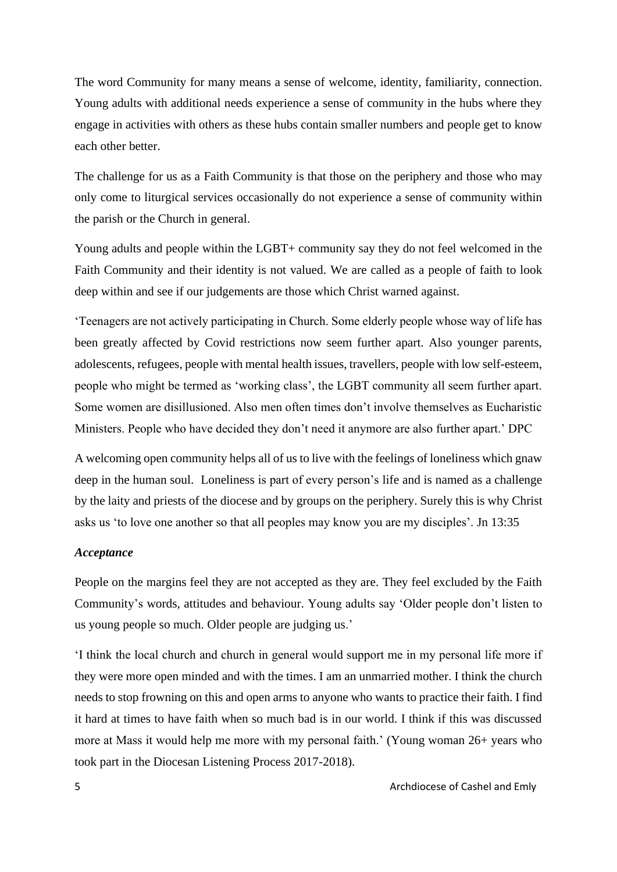The word Community for many means a sense of welcome, identity, familiarity, connection. Young adults with additional needs experience a sense of community in the hubs where they engage in activities with others as these hubs contain smaller numbers and people get to know each other better.

The challenge for us as a Faith Community is that those on the periphery and those who may only come to liturgical services occasionally do not experience a sense of community within the parish or the Church in general.

Young adults and people within the LGBT+ community say they do not feel welcomed in the Faith Community and their identity is not valued. We are called as a people of faith to look deep within and see if our judgements are those which Christ warned against.

'Teenagers are not actively participating in Church. Some elderly people whose way of life has been greatly affected by Covid restrictions now seem further apart. Also younger parents, adolescents, refugees, people with mental health issues, travellers, people with low self-esteem, people who might be termed as 'working class', the LGBT community all seem further apart. Some women are disillusioned. Also men often times don't involve themselves as Eucharistic Ministers. People who have decided they don't need it anymore are also further apart.' DPC

A welcoming open community helps all of us to live with the feelings of loneliness which gnaw deep in the human soul. Loneliness is part of every person's life and is named as a challenge by the laity and priests of the diocese and by groups on the periphery. Surely this is why Christ asks us 'to love one another so that all peoples may know you are my disciples'. Jn 13:35

# *Acceptance*

People on the margins feel they are not accepted as they are. They feel excluded by the Faith Community's words, attitudes and behaviour. Young adults say 'Older people don't listen to us young people so much. Older people are judging us.'

'I think the local church and church in general would support me in my personal life more if they were more open minded and with the times. I am an unmarried mother. I think the church needs to stop frowning on this and open arms to anyone who wants to practice their faith. I find it hard at times to have faith when so much bad is in our world. I think if this was discussed more at Mass it would help me more with my personal faith.' (Young woman 26+ years who took part in the Diocesan Listening Process 2017-2018).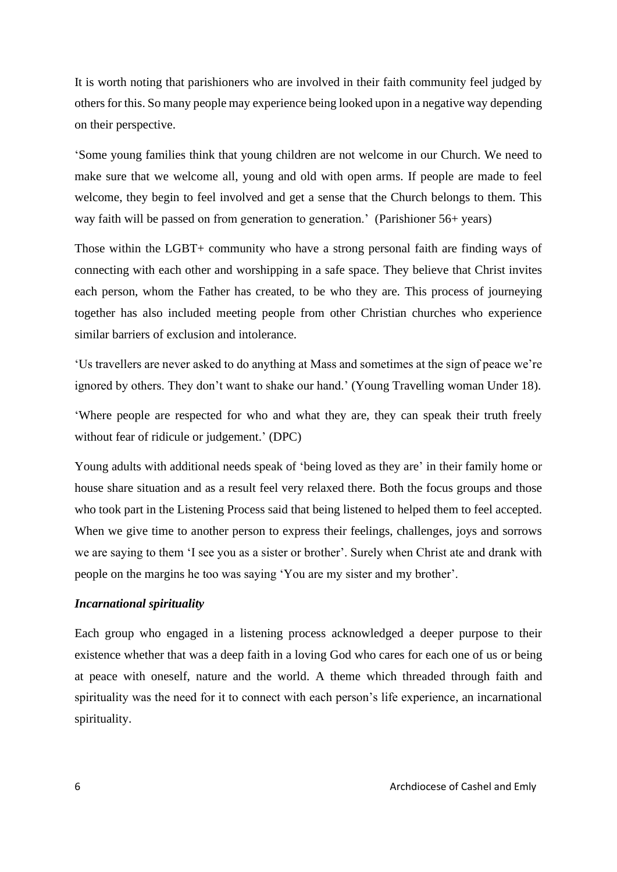It is worth noting that parishioners who are involved in their faith community feel judged by others for this. So many people may experience being looked upon in a negative way depending on their perspective.

'Some young families think that young children are not welcome in our Church. We need to make sure that we welcome all, young and old with open arms. If people are made to feel welcome, they begin to feel involved and get a sense that the Church belongs to them. This way faith will be passed on from generation to generation.' (Parishioner 56+ years)

Those within the LGBT+ community who have a strong personal faith are finding ways of connecting with each other and worshipping in a safe space. They believe that Christ invites each person, whom the Father has created, to be who they are. This process of journeying together has also included meeting people from other Christian churches who experience similar barriers of exclusion and intolerance.

'Us travellers are never asked to do anything at Mass and sometimes at the sign of peace we're ignored by others. They don't want to shake our hand.' (Young Travelling woman Under 18).

'Where people are respected for who and what they are, they can speak their truth freely without fear of ridicule or judgement.' (DPC)

Young adults with additional needs speak of 'being loved as they are' in their family home or house share situation and as a result feel very relaxed there. Both the focus groups and those who took part in the Listening Process said that being listened to helped them to feel accepted. When we give time to another person to express their feelings, challenges, joys and sorrows we are saying to them 'I see you as a sister or brother'. Surely when Christ ate and drank with people on the margins he too was saying 'You are my sister and my brother'.

# *Incarnational spirituality*

Each group who engaged in a listening process acknowledged a deeper purpose to their existence whether that was a deep faith in a loving God who cares for each one of us or being at peace with oneself, nature and the world. A theme which threaded through faith and spirituality was the need for it to connect with each person's life experience, an incarnational spirituality.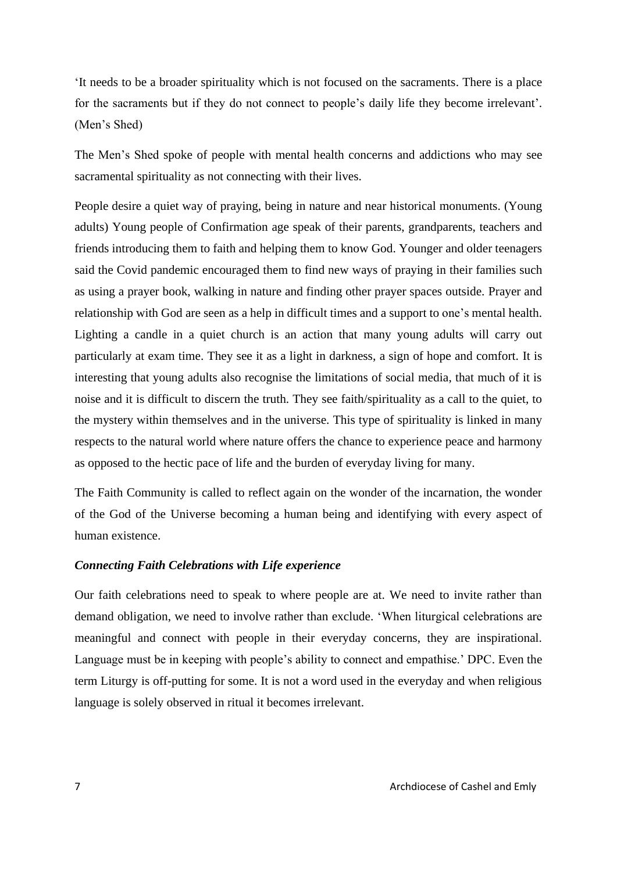'It needs to be a broader spirituality which is not focused on the sacraments. There is a place for the sacraments but if they do not connect to people's daily life they become irrelevant'. (Men's Shed)

The Men's Shed spoke of people with mental health concerns and addictions who may see sacramental spirituality as not connecting with their lives.

People desire a quiet way of praying, being in nature and near historical monuments. (Young adults) Young people of Confirmation age speak of their parents, grandparents, teachers and friends introducing them to faith and helping them to know God. Younger and older teenagers said the Covid pandemic encouraged them to find new ways of praying in their families such as using a prayer book, walking in nature and finding other prayer spaces outside. Prayer and relationship with God are seen as a help in difficult times and a support to one's mental health. Lighting a candle in a quiet church is an action that many young adults will carry out particularly at exam time. They see it as a light in darkness, a sign of hope and comfort. It is interesting that young adults also recognise the limitations of social media, that much of it is noise and it is difficult to discern the truth. They see faith/spirituality as a call to the quiet, to the mystery within themselves and in the universe. This type of spirituality is linked in many respects to the natural world where nature offers the chance to experience peace and harmony as opposed to the hectic pace of life and the burden of everyday living for many.

The Faith Community is called to reflect again on the wonder of the incarnation, the wonder of the God of the Universe becoming a human being and identifying with every aspect of human existence.

# *Connecting Faith Celebrations with Life experience*

Our faith celebrations need to speak to where people are at. We need to invite rather than demand obligation, we need to involve rather than exclude. 'When liturgical celebrations are meaningful and connect with people in their everyday concerns, they are inspirational. Language must be in keeping with people's ability to connect and empathise.' DPC. Even the term Liturgy is off-putting for some. It is not a word used in the everyday and when religious language is solely observed in ritual it becomes irrelevant.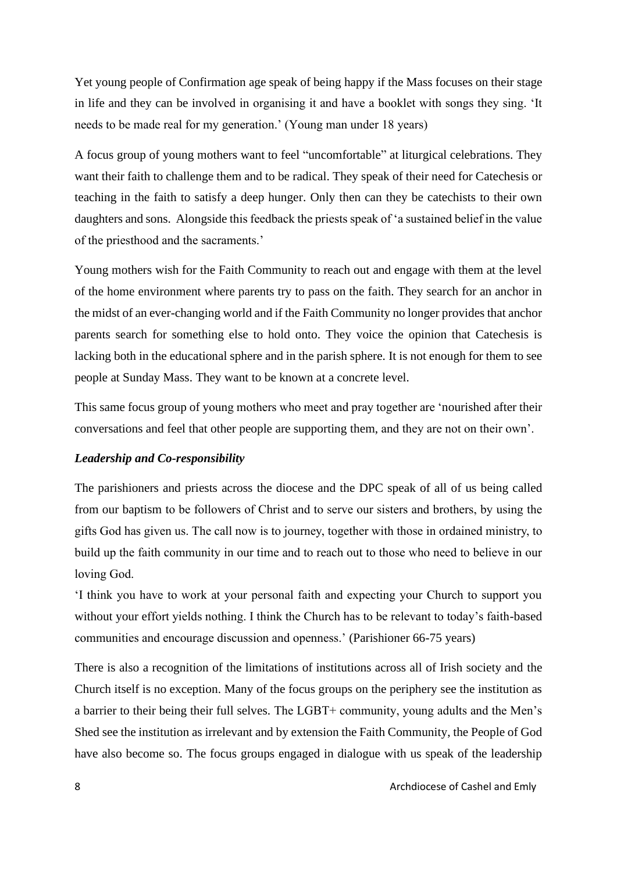Yet young people of Confirmation age speak of being happy if the Mass focuses on their stage in life and they can be involved in organising it and have a booklet with songs they sing. 'It needs to be made real for my generation.' (Young man under 18 years)

A focus group of young mothers want to feel "uncomfortable" at liturgical celebrations. They want their faith to challenge them and to be radical. They speak of their need for Catechesis or teaching in the faith to satisfy a deep hunger. Only then can they be catechists to their own daughters and sons. Alongside this feedback the priests speak of 'a sustained belief in the value of the priesthood and the sacraments.'

Young mothers wish for the Faith Community to reach out and engage with them at the level of the home environment where parents try to pass on the faith. They search for an anchor in the midst of an ever-changing world and if the Faith Community no longer provides that anchor parents search for something else to hold onto. They voice the opinion that Catechesis is lacking both in the educational sphere and in the parish sphere. It is not enough for them to see people at Sunday Mass. They want to be known at a concrete level.

This same focus group of young mothers who meet and pray together are 'nourished after their conversations and feel that other people are supporting them, and they are not on their own'.

# *Leadership and Co-responsibility*

The parishioners and priests across the diocese and the DPC speak of all of us being called from our baptism to be followers of Christ and to serve our sisters and brothers, by using the gifts God has given us. The call now is to journey, together with those in ordained ministry, to build up the faith community in our time and to reach out to those who need to believe in our loving God.

'I think you have to work at your personal faith and expecting your Church to support you without your effort yields nothing. I think the Church has to be relevant to today's faith-based communities and encourage discussion and openness.' (Parishioner 66-75 years)

There is also a recognition of the limitations of institutions across all of Irish society and the Church itself is no exception. Many of the focus groups on the periphery see the institution as a barrier to their being their full selves. The LGBT+ community, young adults and the Men's Shed see the institution as irrelevant and by extension the Faith Community, the People of God have also become so. The focus groups engaged in dialogue with us speak of the leadership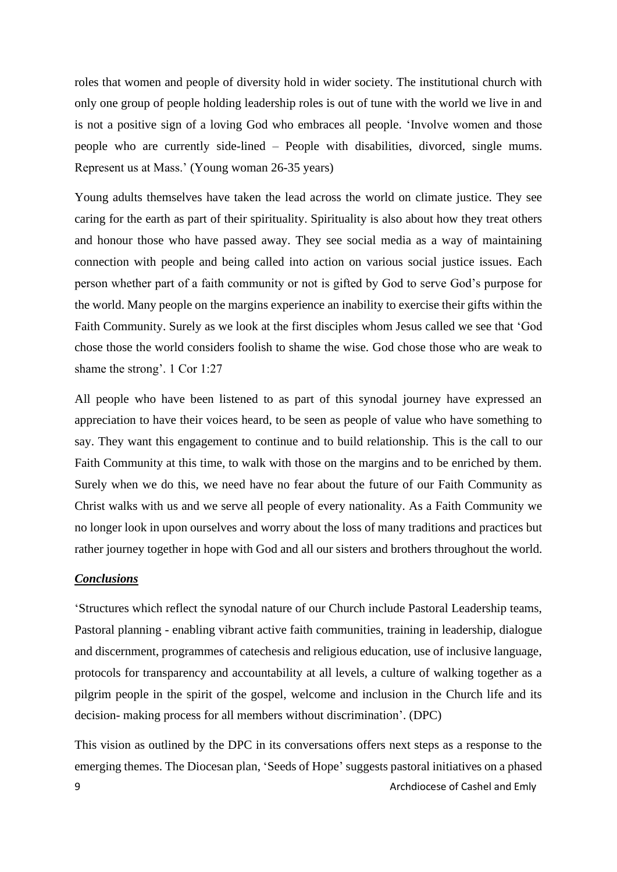roles that women and people of diversity hold in wider society. The institutional church with only one group of people holding leadership roles is out of tune with the world we live in and is not a positive sign of a loving God who embraces all people. 'Involve women and those people who are currently side-lined – People with disabilities, divorced, single mums. Represent us at Mass.' (Young woman 26-35 years)

Young adults themselves have taken the lead across the world on climate justice. They see caring for the earth as part of their spirituality. Spirituality is also about how they treat others and honour those who have passed away. They see social media as a way of maintaining connection with people and being called into action on various social justice issues. Each person whether part of a faith community or not is gifted by God to serve God's purpose for the world. Many people on the margins experience an inability to exercise their gifts within the Faith Community. Surely as we look at the first disciples whom Jesus called we see that 'God chose those the world considers foolish to shame the wise. God chose those who are weak to shame the strong'. 1 Cor 1:27

All people who have been listened to as part of this synodal journey have expressed an appreciation to have their voices heard, to be seen as people of value who have something to say. They want this engagement to continue and to build relationship. This is the call to our Faith Community at this time, to walk with those on the margins and to be enriched by them. Surely when we do this, we need have no fear about the future of our Faith Community as Christ walks with us and we serve all people of every nationality. As a Faith Community we no longer look in upon ourselves and worry about the loss of many traditions and practices but rather journey together in hope with God and all our sisters and brothers throughout the world.

#### *Conclusions*

'Structures which reflect the synodal nature of our Church include Pastoral Leadership teams, Pastoral planning - enabling vibrant active faith communities, training in leadership, dialogue and discernment, programmes of catechesis and religious education, use of inclusive language, protocols for transparency and accountability at all levels, a culture of walking together as a pilgrim people in the spirit of the gospel, welcome and inclusion in the Church life and its decision- making process for all members without discrimination'. (DPC)

9 Archdiocese of Cashel and Emly This vision as outlined by the DPC in its conversations offers next steps as a response to the emerging themes. The Diocesan plan, 'Seeds of Hope' suggests pastoral initiatives on a phased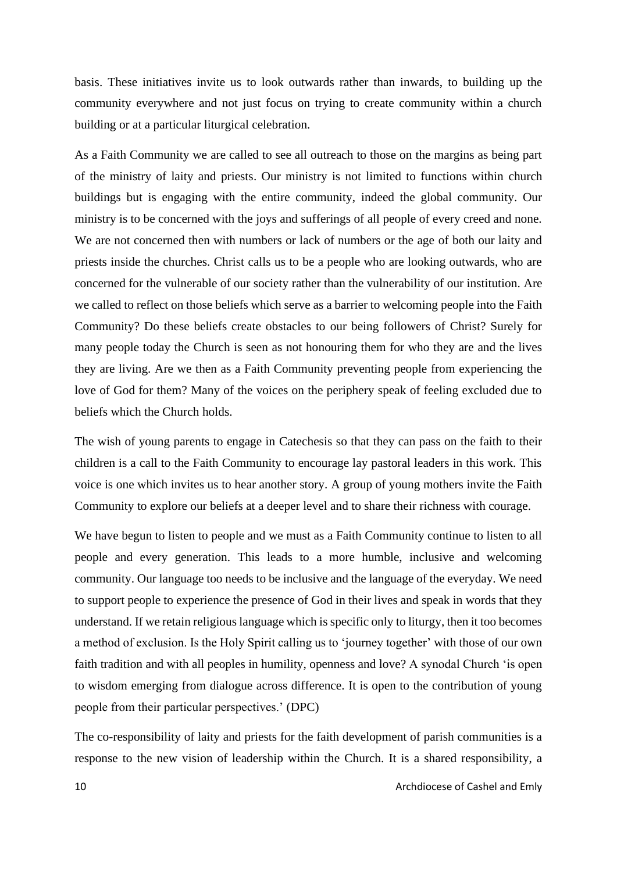basis. These initiatives invite us to look outwards rather than inwards, to building up the community everywhere and not just focus on trying to create community within a church building or at a particular liturgical celebration.

As a Faith Community we are called to see all outreach to those on the margins as being part of the ministry of laity and priests. Our ministry is not limited to functions within church buildings but is engaging with the entire community, indeed the global community. Our ministry is to be concerned with the joys and sufferings of all people of every creed and none. We are not concerned then with numbers or lack of numbers or the age of both our laity and priests inside the churches. Christ calls us to be a people who are looking outwards, who are concerned for the vulnerable of our society rather than the vulnerability of our institution. Are we called to reflect on those beliefs which serve as a barrier to welcoming people into the Faith Community? Do these beliefs create obstacles to our being followers of Christ? Surely for many people today the Church is seen as not honouring them for who they are and the lives they are living. Are we then as a Faith Community preventing people from experiencing the love of God for them? Many of the voices on the periphery speak of feeling excluded due to beliefs which the Church holds.

The wish of young parents to engage in Catechesis so that they can pass on the faith to their children is a call to the Faith Community to encourage lay pastoral leaders in this work. This voice is one which invites us to hear another story. A group of young mothers invite the Faith Community to explore our beliefs at a deeper level and to share their richness with courage.

We have begun to listen to people and we must as a Faith Community continue to listen to all people and every generation. This leads to a more humble, inclusive and welcoming community. Our language too needs to be inclusive and the language of the everyday. We need to support people to experience the presence of God in their lives and speak in words that they understand. If we retain religious language which is specific only to liturgy, then it too becomes a method of exclusion. Is the Holy Spirit calling us to 'journey together' with those of our own faith tradition and with all peoples in humility, openness and love? A synodal Church 'is open to wisdom emerging from dialogue across difference. It is open to the contribution of young people from their particular perspectives.' (DPC)

The co-responsibility of laity and priests for the faith development of parish communities is a response to the new vision of leadership within the Church. It is a shared responsibility, a